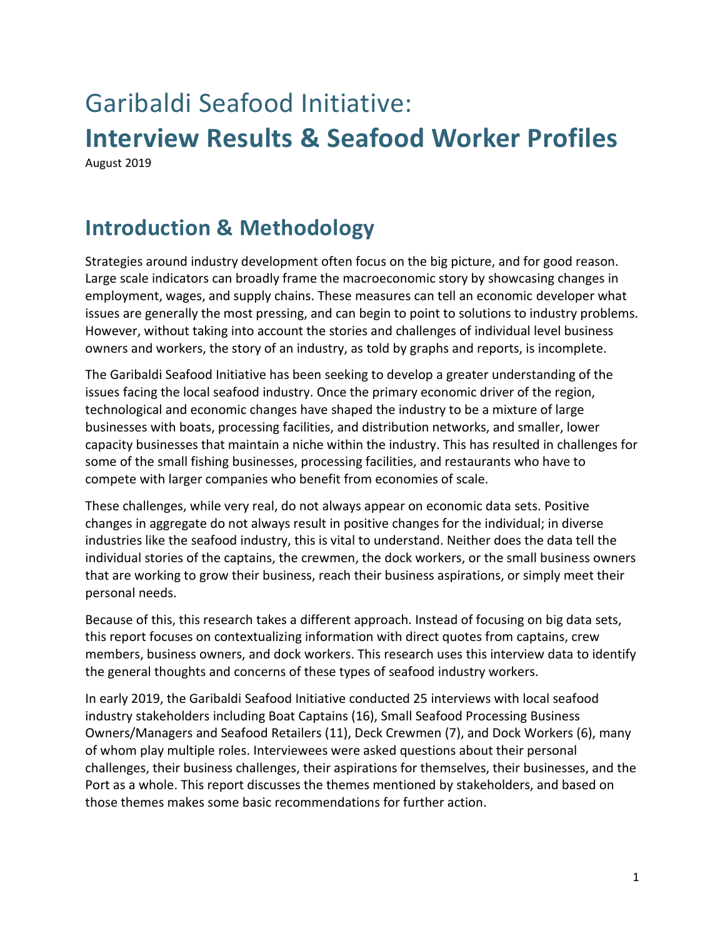# Garibaldi Seafood Initiative: **Interview Results & Seafood Worker Profiles**  August 2019

**Introduction & Methodology**

Strategies around industry development often focus on the big picture, and for good reason. Large scale indicators can broadly frame the macroeconomic story by showcasing changes in employment, wages, and supply chains. These measures can tell an economic developer what issues are generally the most pressing, and can begin to point to solutions to industry problems. However, without taking into account the stories and challenges of individual level business owners and workers, the story of an industry, as told by graphs and reports, is incomplete.

The Garibaldi Seafood Initiative has been seeking to develop a greater understanding of the issues facing the local seafood industry. Once the primary economic driver of the region, technological and economic changes have shaped the industry to be a mixture of large businesses with boats, processing facilities, and distribution networks, and smaller, lower capacity businesses that maintain a niche within the industry. This has resulted in challenges for some of the small fishing businesses, processing facilities, and restaurants who have to compete with larger companies who benefit from economies of scale.

These challenges, while very real, do not always appear on economic data sets. Positive changes in aggregate do not always result in positive changes for the individual; in diverse industries like the seafood industry, this is vital to understand. Neither does the data tell the individual stories of the captains, the crewmen, the dock workers, or the small business owners that are working to grow their business, reach their business aspirations, or simply meet their personal needs.

Because of this, this research takes a different approach. Instead of focusing on big data sets, this report focuses on contextualizing information with direct quotes from captains, crew members, business owners, and dock workers. This research uses this interview data to identify the general thoughts and concerns of these types of seafood industry workers.

In early 2019, the Garibaldi Seafood Initiative conducted 25 interviews with local seafood industry stakeholders including Boat Captains (16), Small Seafood Processing Business Owners/Managers and Seafood Retailers (11), Deck Crewmen (7), and Dock Workers (6), many of whom play multiple roles. Interviewees were asked questions about their personal challenges, their business challenges, their aspirations for themselves, their businesses, and the Port as a whole. This report discusses the themes mentioned by stakeholders, and based on those themes makes some basic recommendations for further action.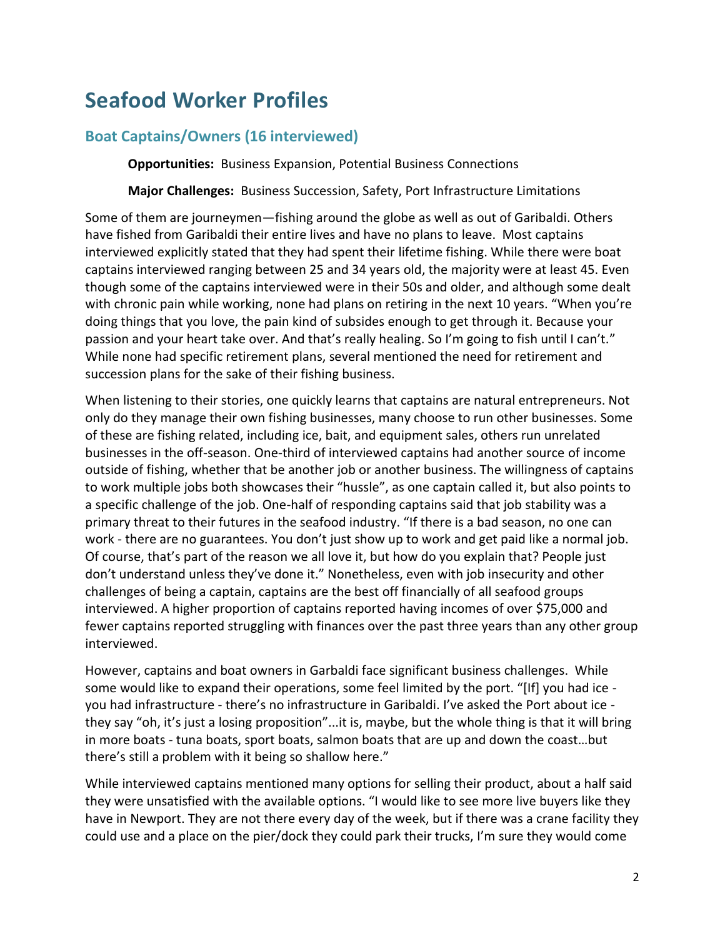## **Seafood Worker Profiles**

#### **Boat Captains/Owners (16 interviewed)**

**Opportunities:** Business Expansion, Potential Business Connections

**Major Challenges:** Business Succession, Safety, Port Infrastructure Limitations

Some of them are journeymen—fishing around the globe as well as out of Garibaldi. Others have fished from Garibaldi their entire lives and have no plans to leave. Most captains interviewed explicitly stated that they had spent their lifetime fishing. While there were boat captains interviewed ranging between 25 and 34 years old, the majority were at least 45. Even though some of the captains interviewed were in their 50s and older, and although some dealt with chronic pain while working, none had plans on retiring in the next 10 years. "When you're doing things that you love, the pain kind of subsides enough to get through it. Because your passion and your heart take over. And that's really healing. So I'm going to fish until I can't." While none had specific retirement plans, several mentioned the need for retirement and succession plans for the sake of their fishing business.

When listening to their stories, one quickly learns that captains are natural entrepreneurs. Not only do they manage their own fishing businesses, many choose to run other businesses. Some of these are fishing related, including ice, bait, and equipment sales, others run unrelated businesses in the off-season. One-third of interviewed captains had another source of income outside of fishing, whether that be another job or another business. The willingness of captains to work multiple jobs both showcases their "hussle", as one captain called it, but also points to a specific challenge of the job. One-half of responding captains said that job stability was a primary threat to their futures in the seafood industry. "If there is a bad season, no one can work - there are no guarantees. You don't just show up to work and get paid like a normal job. Of course, that's part of the reason we all love it, but how do you explain that? People just don't understand unless they've done it." Nonetheless, even with job insecurity and other challenges of being a captain, captains are the best off financially of all seafood groups interviewed. A higher proportion of captains reported having incomes of over \$75,000 and fewer captains reported struggling with finances over the past three years than any other group interviewed.

However, captains and boat owners in Garbaldi face significant business challenges. While some would like to expand their operations, some feel limited by the port. "[If] you had ice you had infrastructure - there's no infrastructure in Garibaldi. I've asked the Port about ice they say "oh, it's just a losing proposition"...it is, maybe, but the whole thing is that it will bring in more boats - tuna boats, sport boats, salmon boats that are up and down the coast…but there's still a problem with it being so shallow here."

While interviewed captains mentioned many options for selling their product, about a half said they were unsatisfied with the available options. "I would like to see more live buyers like they have in Newport. They are not there every day of the week, but if there was a crane facility they could use and a place on the pier/dock they could park their trucks, I'm sure they would come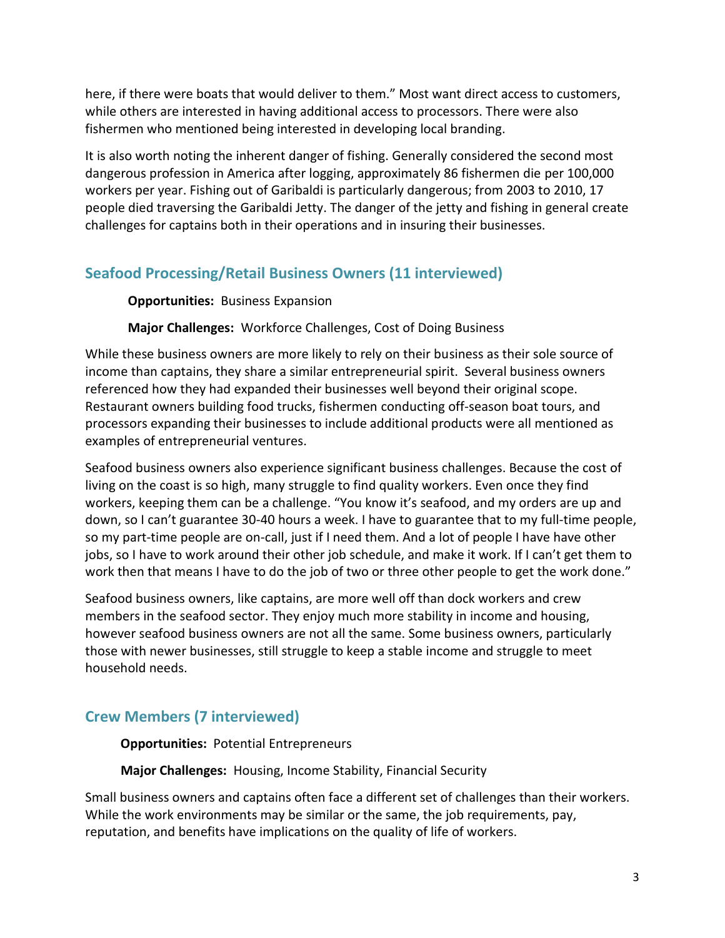here, if there were boats that would deliver to them." Most want direct access to customers, while others are interested in having additional access to processors. There were also fishermen who mentioned being interested in developing local branding.

It is also worth noting the inherent danger of fishing. Generally considered the second most dangerous profession in America after logging, approximately 86 fishermen die per 100,000 workers per year. Fishing out of Garibaldi is particularly dangerous; from 2003 to 2010, 17 people died traversing the Garibaldi Jetty. The danger of the jetty and fishing in general create challenges for captains both in their operations and in insuring their businesses.

## **Seafood Processing/Retail Business Owners (11 interviewed)**

#### **Opportunities:** Business Expansion

#### **Major Challenges:** Workforce Challenges, Cost of Doing Business

While these business owners are more likely to rely on their business as their sole source of income than captains, they share a similar entrepreneurial spirit. Several business owners referenced how they had expanded their businesses well beyond their original scope. Restaurant owners building food trucks, fishermen conducting off-season boat tours, and processors expanding their businesses to include additional products were all mentioned as examples of entrepreneurial ventures.

Seafood business owners also experience significant business challenges. Because the cost of living on the coast is so high, many struggle to find quality workers. Even once they find workers, keeping them can be a challenge. "You know it's seafood, and my orders are up and down, so I can't guarantee 30-40 hours a week. I have to guarantee that to my full-time people, so my part-time people are on-call, just if I need them. And a lot of people I have have other jobs, so I have to work around their other job schedule, and make it work. If I can't get them to work then that means I have to do the job of two or three other people to get the work done."

Seafood business owners, like captains, are more well off than dock workers and crew members in the seafood sector. They enjoy much more stability in income and housing, however seafood business owners are not all the same. Some business owners, particularly those with newer businesses, still struggle to keep a stable income and struggle to meet household needs.

## **Crew Members (7 interviewed)**

 **Opportunities:** Potential Entrepreneurs

 **Major Challenges:** Housing, Income Stability, Financial Security

Small business owners and captains often face a different set of challenges than their workers. While the work environments may be similar or the same, the job requirements, pay, reputation, and benefits have implications on the quality of life of workers.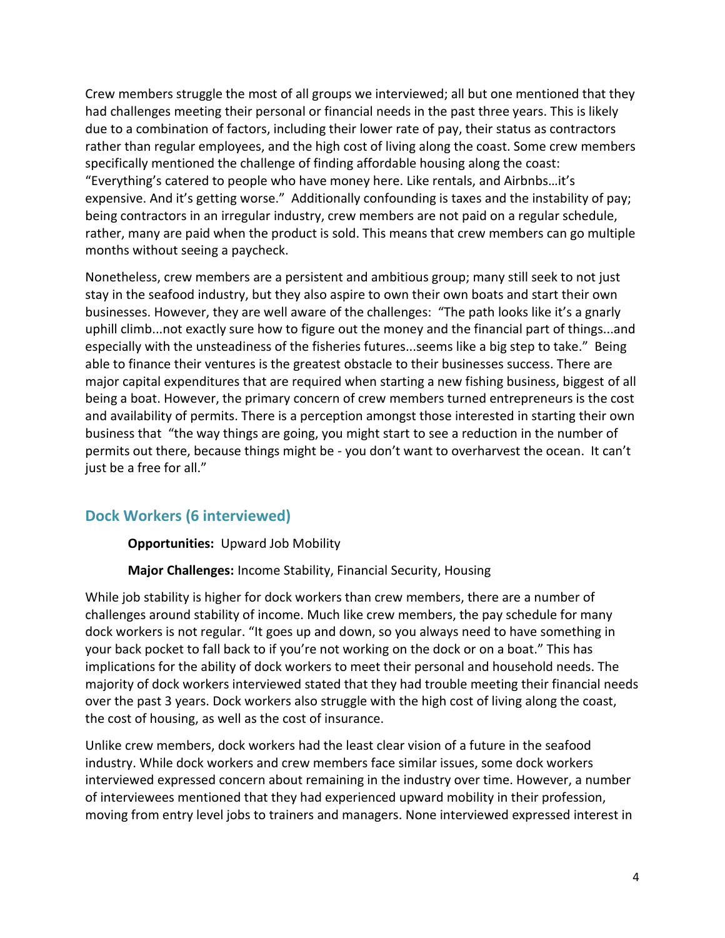Crew members struggle the most of all groups we interviewed; all but one mentioned that they had challenges meeting their personal or financial needs in the past three years. This is likely due to a combination of factors, including their lower rate of pay, their status as contractors rather than regular employees, and the high cost of living along the coast. Some crew members specifically mentioned the challenge of finding affordable housing along the coast: "Everything's catered to people who have money here. Like rentals, and Airbnbs…it's expensive. And it's getting worse." Additionally confounding is taxes and the instability of pay; being contractors in an irregular industry, crew members are not paid on a regular schedule, rather, many are paid when the product is sold. This means that crew members can go multiple months without seeing a paycheck.

Nonetheless, crew members are a persistent and ambitious group; many still seek to not just stay in the seafood industry, but they also aspire to own their own boats and start their own businesses. However, they are well aware of the challenges: "The path looks like it's a gnarly uphill climb...not exactly sure how to figure out the money and the financial part of things...and especially with the unsteadiness of the fisheries futures...seems like a big step to take." Being able to finance their ventures is the greatest obstacle to their businesses success. There are major capital expenditures that are required when starting a new fishing business, biggest of all being a boat. However, the primary concern of crew members turned entrepreneurs is the cost and availability of permits. There is a perception amongst those interested in starting their own business that "the way things are going, you might start to see a reduction in the number of permits out there, because things might be - you don't want to overharvest the ocean. It can't just be a free for all."

#### **Dock Workers (6 interviewed)**

**Opportunities:** Upward Job Mobility

**Major Challenges:** Income Stability, Financial Security, Housing

While job stability is higher for dock workers than crew members, there are a number of challenges around stability of income. Much like crew members, the pay schedule for many dock workers is not regular. "It goes up and down, so you always need to have something in your back pocket to fall back to if you're not working on the dock or on a boat." This has implications for the ability of dock workers to meet their personal and household needs. The majority of dock workers interviewed stated that they had trouble meeting their financial needs over the past 3 years. Dock workers also struggle with the high cost of living along the coast, the cost of housing, as well as the cost of insurance.

Unlike crew members, dock workers had the least clear vision of a future in the seafood industry. While dock workers and crew members face similar issues, some dock workers interviewed expressed concern about remaining in the industry over time. However, a number of interviewees mentioned that they had experienced upward mobility in their profession, moving from entry level jobs to trainers and managers. None interviewed expressed interest in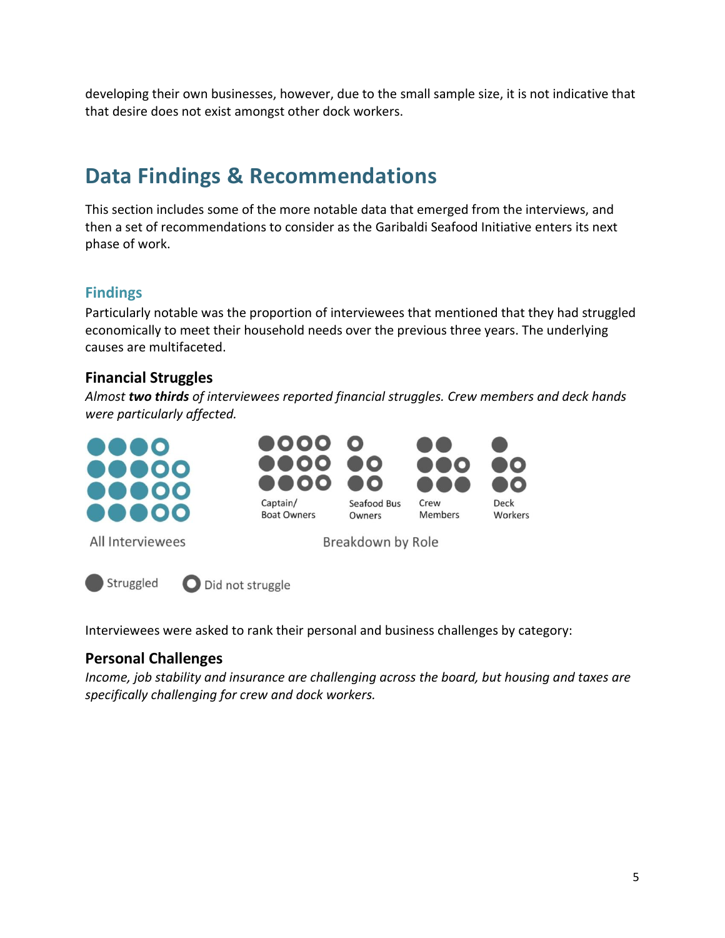developing their own businesses, however, due to the small sample size, it is not indicative that that desire does not exist amongst other dock workers.

# **Data Findings & Recommendations**

This section includes some of the more notable data that emerged from the interviews, and then a set of recommendations to consider as the Garibaldi Seafood Initiative enters its next phase of work.

## **Findings**

Particularly notable was the proportion of interviewees that mentioned that they had struggled economically to meet their household needs over the previous three years. The underlying causes are multifaceted.

## **Financial Struggles**

*Almost two thirds of interviewees reported financial struggles. Crew members and deck hands were particularly affected.*



Interviewees were asked to rank their personal and business challenges by category:

## **Personal Challenges**

*Income, job stability and insurance are challenging across the board, but housing and taxes are specifically challenging for crew and dock workers.*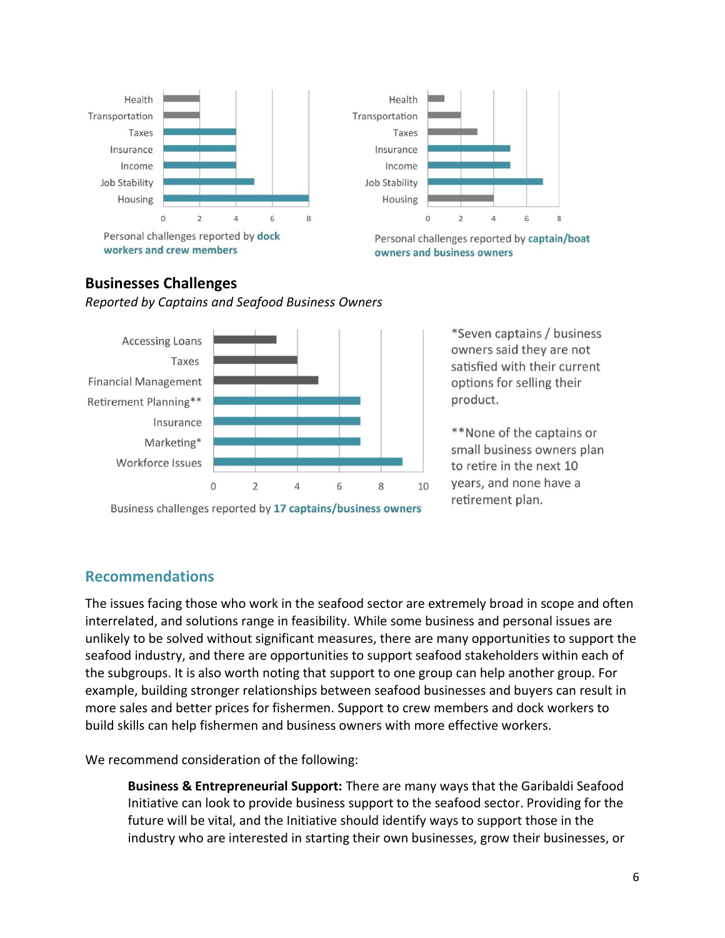



Personal challenges reported by captain/boat owners and business owners

## **Businesses Challenges**

*Reported by Captains and Seafood Business Owners*



Business challenges reported by 17 captains/business owners

\*Seven captains / business owners said they are not satisfied with their current options for selling their product.

\*\*None of the captains or small business owners plan to retire in the next 10 years, and none have a retirement plan.

## **Recommendations**

The issues facing those who work in the seafood sector are extremely broad in scope and often interrelated, and solutions range in feasibility. While some business and personal issues are unlikely to be solved without significant measures, there are many opportunities to support the seafood industry, and there are opportunities to support seafood stakeholders within each of the subgroups. It is also worth noting that support to one group can help another group. For example, building stronger relationships between seafood businesses and buyers can result in more sales and better prices for fishermen. Support to crew members and dock workers to build skills can help fishermen and business owners with more effective workers.

We recommend consideration of the following:

**Business & Entrepreneurial Support:** There are many ways that the Garibaldi Seafood Initiative can look to provide business support to the seafood sector. Providing for the future will be vital, and the Initiative should identify ways to support those in the industry who are interested in starting their own businesses, grow their businesses, or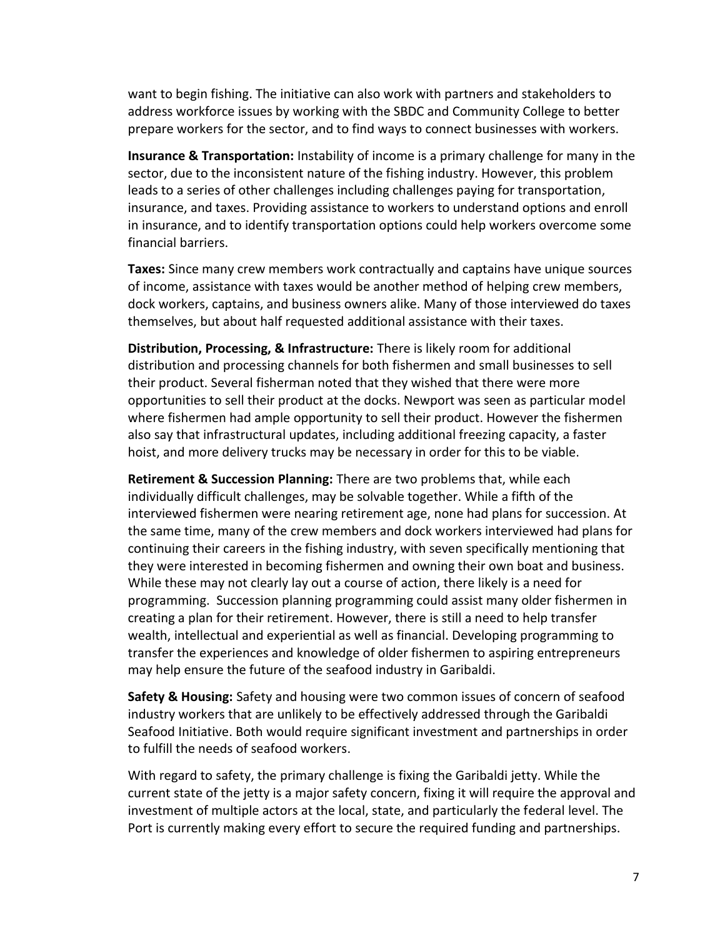want to begin fishing. The initiative can also work with partners and stakeholders to address workforce issues by working with the SBDC and Community College to better prepare workers for the sector, and to find ways to connect businesses with workers.

**Insurance & Transportation:** Instability of income is a primary challenge for many in the sector, due to the inconsistent nature of the fishing industry. However, this problem leads to a series of other challenges including challenges paying for transportation, insurance, and taxes. Providing assistance to workers to understand options and enroll in insurance, and to identify transportation options could help workers overcome some financial barriers.

**Taxes:** Since many crew members work contractually and captains have unique sources of income, assistance with taxes would be another method of helping crew members, dock workers, captains, and business owners alike. Many of those interviewed do taxes themselves, but about half requested additional assistance with their taxes.

**Distribution, Processing, & Infrastructure:** There is likely room for additional distribution and processing channels for both fishermen and small businesses to sell their product. Several fisherman noted that they wished that there were more opportunities to sell their product at the docks. Newport was seen as particular model where fishermen had ample opportunity to sell their product. However the fishermen also say that infrastructural updates, including additional freezing capacity, a faster hoist, and more delivery trucks may be necessary in order for this to be viable.

**Retirement & Succession Planning:** There are two problems that, while each individually difficult challenges, may be solvable together. While a fifth of the interviewed fishermen were nearing retirement age, none had plans for succession. At the same time, many of the crew members and dock workers interviewed had plans for continuing their careers in the fishing industry, with seven specifically mentioning that they were interested in becoming fishermen and owning their own boat and business. While these may not clearly lay out a course of action, there likely is a need for programming. Succession planning programming could assist many older fishermen in creating a plan for their retirement. However, there is still a need to help transfer wealth, intellectual and experiential as well as financial. Developing programming to transfer the experiences and knowledge of older fishermen to aspiring entrepreneurs may help ensure the future of the seafood industry in Garibaldi.

**Safety & Housing:** Safety and housing were two common issues of concern of seafood industry workers that are unlikely to be effectively addressed through the Garibaldi Seafood Initiative. Both would require significant investment and partnerships in order to fulfill the needs of seafood workers.

With regard to safety, the primary challenge is fixing the Garibaldi jetty. While the current state of the jetty is a major safety concern, fixing it will require the approval and investment of multiple actors at the local, state, and particularly the federal level. The Port is currently making every effort to secure the required funding and partnerships.